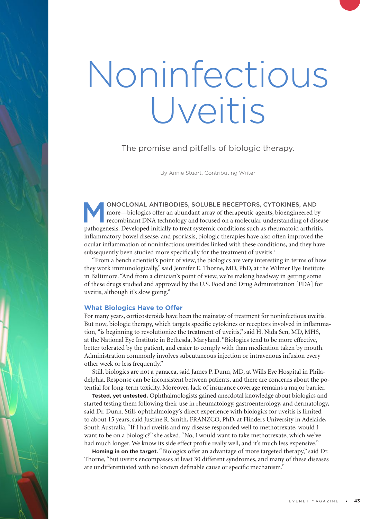# Noninfectious Uveitis

The promise and pitfalls of biologic therapy.

By Annie Stuart, Contributing Writer

SOLUBLE RECEPTORS, CYTOKINES, AND<br>more—biologics offer an abundant array of therapeutic agents, bioengineered by<br>recombinant DNA technology and focused on a molecular understanding of dis-<br>nathogenesis. Daveloped initially more—biologics offer an abundant array of therapeutic agents, bioengineered by recombinant DNA technology and focused on a molecular understanding of disease pathogenesis. Developed initially to treat systemic conditions such as rheumatoid arthritis, inflammatory bowel disease, and psoriasis, biologic therapies have also often improved the ocular inflammation of noninfectious uveitides linked with these conditions, and they have subsequently been studied more specifically for the treatment of uveitis.<sup>1</sup>

"From a bench scientist's point of view, the biologics are very interesting in terms of how they work immunologically," said Jennifer E. Thorne, MD, PhD, at the Wilmer Eye Institute in Baltimore. "And from a clinician's point of view, we're making headway in getting some of these drugs studied and approved by the U.S. Food and Drug Administration [FDA] for uveitis, although it's slow going."

#### **What Biologics Have to Offer**

For many years, corticosteroids have been the mainstay of treatment for noninfectious uveitis. But now, biologic therapy, which targets specific cytokines or receptors involved in inflammation, "is beginning to revolutionize the treatment of uveitis," said H. Nida Sen, MD, MHS, at the National Eye Institute in Bethesda, Maryland. "Biologics tend to be more effective, better tolerated by the patient, and easier to comply with than medication taken by mouth. Administration commonly involves subcutaneous injection or intravenous infusion every other week or less frequently."

Still, biologics are not a panacea, said James P. Dunn, MD, at Wills Eye Hospital in Philadelphia. Response can be inconsistent between patients, and there are concerns about the potential for long-term toxicity. Moreover, lack of insurance coverage remains a major barrier.

**Tested, yet untested.** Ophthalmologists gained anecdotal knowledge about biologics and started testing them following their use in rheumatology, gastroenterology, and dermatology, said Dr. Dunn. Still, ophthalmology's direct experience with biologics for uveitis is limited to about 15 years, said Justine R. Smith, FRANZCO, PhD, at Flinders University in Adelaide, South Australia. "If I had uveitis and my disease responded well to methotrexate, would I want to be on a biologic?" she asked. "No, I would want to take methotrexate, which we've had much longer. We know its side effect profile really well, and it's much less expensive."

**Homing in on the target.** "Biologics offer an advantage of more targeted therapy," said Dr. Thorne, "but uveitis encompasses at least 30 different syndromes, and many of these diseases are undifferentiated with no known definable cause or specific mechanism."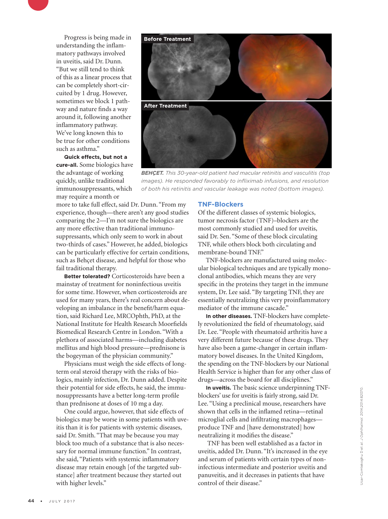Progress is being made in understanding the inflammatory pathways involved in uveitis, said Dr. Dunn. "But we still tend to think of this as a linear process that can be completely short-circuited by 1 drug. However, sometimes we block 1 pathway and nature finds a way around it, following another inflammatory pathway. We've long known this to be true for other conditions such as asthma."

**Quick effects, but not a cure-all.** Some biologics have the advantage of working quickly, unlike traditional immunosuppressants, which may require a month or



*BEHÇET. This 30-year-old patient had macular retinitis and vasculitis (top images). He responded favorably to infliximab infusions, and resolution of both his retinitis and vascular leakage was noted (bottom images).*

more to take full effect, said Dr. Dunn. "From my experience, though—there aren't any good studies comparing the 2—I'm not sure the biologics are any more effective than traditional immunosuppressants, which only seem to work in about two-thirds of cases." However, he added, biologics can be particularly effective for certain conditions, such as Behçet disease, and helpful for those who fail traditional therapy.

**Better tolerated?** Corticosteroids have been a mainstay of treatment for noninfectious uveitis for some time. However, when corticosteroids are used for many years, there's real concern about developing an imbalance in the benefit/harm equation, said Richard Lee, MRCOphth, PhD, at the National Institute for Health Research Moorfields Biomedical Research Centre in London. "With a plethora of associated harms—including diabetes mellitus and high blood pressure—prednisone is the bogeyman of the physician community."

Physicians must weigh the side effects of longterm oral steroid therapy with the risks of biologics, mainly infection, Dr. Dunn added. Despite their potential for side effects, he said, the immunosuppressants have a better long-term profile than prednisone at doses of 10 mg a day.

One could argue, however, that side effects of biologics may be worse in some patients with uveitis than it is for patients with systemic diseases, said Dr. Smith. "That may be because you may block too much of a substance that is also necessary for normal immune function." In contrast, she said, "Patients with systemic inflammatory disease may retain enough [of the targeted substance] after treatment because they started out with higher levels."

#### **TNF-Blockers**

Of the different classes of systemic biologics, tumor necrosis factor (TNF)–blockers are the most commonly studied and used for uveitis, said Dr. Sen. "Some of these block circulating TNF, while others block both circulating and membrane-bound TNF."

TNF-blockers are manufactured using molecular biological techniques and are typically monoclonal antibodies, which means they are very specific in the proteins they target in the immune system, Dr. Lee said. "By targeting TNF, they are essentially neutralizing this very proinflammatory mediator of the immune cascade."

**In other diseases.** TNF-blockers have completely revolutionized the field of rheumatology, said Dr. Lee. "People with rheumatoid arthritis have a very different future because of these drugs. They have also been a game-changer in certain inflammatory bowel diseases. In the United Kingdom, the spending on the TNF-blockers by our National Health Service is higher than for any other class of drugs—across the board for all disciplines."

**In uveitis.** The basic science underpinning TNFblockers' use for uveitis is fairly strong, said Dr. Lee. "Using a preclinical mouse, researchers have shown that cells in the inflamed retina—retinal microglial cells and infiltrating macrophages produce TNF and [have demonstrated] how neutralizing it modifies the disease."

 TNF has been well established as a factor in uveitis, added Dr. Dunn. "It's increased in the eye and serum of patients with certain types of noninfectious intermediate and posterior uveitis and panuveitis, and it decreases in patients that have control of their disease."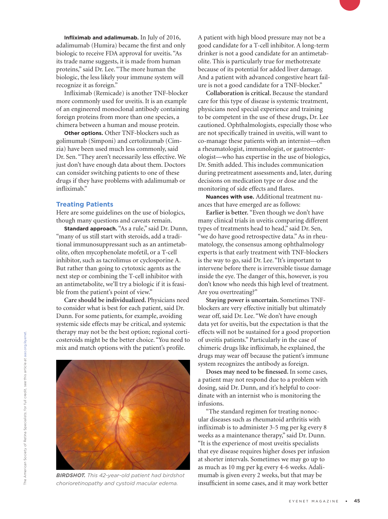**Infliximab and adalimumab.** In July of 2016, adalimumab (Humira) became the first and only biologic to receive FDA approval for uveitis. "As its trade name suggests, it is made from human proteins," said Dr. Lee. "The more human the biologic, the less likely your immune system will recognize it as foreign."

Infliximab (Remicade) is another TNF-blocker more commonly used for uveitis. It is an example of an engineered monoclonal antibody containing foreign proteins from more than one species, a chimera between a human and mouse protein.

**Other options.** Other TNF-blockers such as golimumab (Simponi) and certolizumab (Cimzia) have been used much less commonly, said Dr. Sen. "They aren't necessarily less effective. We just don't have enough data about them. Doctors can consider switching patients to one of these drugs if they have problems with adalimumab or infliximab."

#### **Treating Patients**

Here are some guidelines on the use of biologics, though many questions and caveats remain.

**Standard approach.** "As a rule," said Dr. Dunn, "many of us still start with steroids, add a traditional immunosuppressant such as an antimetabolite, often mycophenolate mofetil, or a T-cell inhibitor, such as tacrolimus or cyclosporine A. But rather than going to cytotoxic agents as the next step or combining the T-cell inhibitor with an antimetabolite, we'll try a biologic if it is feasible from the patient's point of view."

**Care should be individualized.** Physicians need to consider what is best for each patient, said Dr. Dunn. For some patients, for example, avoiding systemic side effects may be critical, and systemic therapy may not be the best option; regional corticosteroids might be the better choice. "You need to mix and match options with the patient's profile.



*BIRDSHOT. This 42-year-old patient had birdshot chorioretinopathy and cystoid macular edema.* 

A patient with high blood pressure may not be a good candidate for a T-cell inhibitor. A long-term drinker is not a good candidate for an antimetabolite. This is particularly true for methotrexate because of its potential for added liver damage. And a patient with advanced congestive heart failure is not a good candidate for a TNF-blocker."

**Collaboration is critical.** Because the standard care for this type of disease is systemic treatment, physicians need special experience and training to be competent in the use of these drugs, Dr. Lee cautioned. Ophthalmologists, especially those who are not specifically trained in uveitis, will want to co-manage these patients with an internist—often a rheumatologist, immunologist, or gastroenterologist—who has expertise in the use of biologics, Dr. Smith added. This includes communication during pretreatment assessments and, later, during decisions on medication type or dose and the monitoring of side effects and flares.

**Nuances with use.** Additional treatment nuances that have emerged are as follows:

**Earlier is better.** "Even though we don't have many clinical trials in uveitis comparing different types of treatments head to head," said Dr. Sen, "we do have good retrospective data." As in rheumatology, the consensus among ophthalmology experts is that early treatment with TNF-blockers is the way to go, said Dr. Lee. "It's important to intervene before there is irreversible tissue damage inside the eye. The danger of this, however, is you don't know who needs this high level of treatment. Are you overtreating?"

**Staying power is uncertain.** Sometimes TNFblockers are very effective initially but ultimately wear off, said Dr. Lee. "We don't have enough data yet for uveitis, but the expectation is that the effects will not be sustained for a good proportion of uveitis patients." Particularly in the case of chimeric drugs like infliximab, he explained, the drugs may wear off because the patient's immune system recognizes the antibody as foreign.

**Doses may need to be finessed.** In some cases, a patient may not respond due to a problem with dosing, said Dr. Dunn, and it's helpful to coordinate with an internist who is monitoring the infusions.

"The standard regimen for treating nonocular diseases such as rheumatoid arthritis with infliximab is to administer 3-5 mg per kg every 8 weeks as a maintenance therapy," said Dr. Dunn. "It is the experience of most uveitis specialists that eye disease requires higher doses per infusion at shorter intervals. Sometimes we may go up to as much as 10 mg per kg every 4-6 weeks. Adalimumab is given every 2 weeks, but that may be insufficient in some cases, and it may work better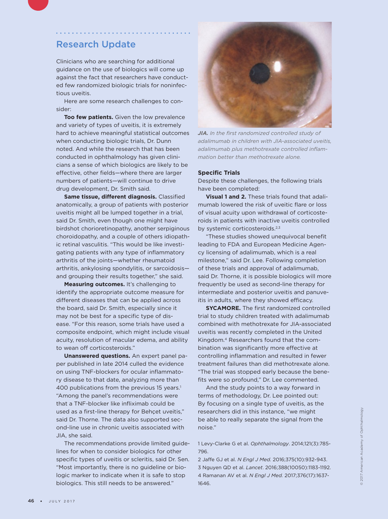### Research Update

Clinicians who are searching for additional guidance on the use of biologics will come up against the fact that researchers have conducted few randomized biologic trials for noninfectious uveitis.

Here are some research challenges to consider:

**Too few patients.** Given the low prevalence and variety of types of uveitis, it is extremely hard to achieve meaningful statistical outcomes when conducting biologic trials, Dr. Dunn noted. And while the research that has been conducted in ophthalmology has given clinicians a sense of which biologics are likely to be effective, other fields—where there are larger numbers of patients—will continue to drive drug development, Dr. Smith said.

**Same tissue, different diagnosis.** Classified anatomically, a group of patients with posterior uveitis might all be lumped together in a trial, said Dr. Smith, even though one might have birdshot chorioretinopathy, another serpiginous choroidopathy, and a couple of others idiopathic retinal vasculitis. "This would be like investigating patients with any type of inflammatory arthritis of the joints—whether rheumatoid arthritis, ankylosing spondylitis, or sarcoidosis and grouping their results together," she said.

**Measuring outcomes.** It's challenging to identify the appropriate outcome measure for different diseases that can be applied across the board, said Dr. Smith, especially since it may not be best for a specific type of disease. "For this reason, some trials have used a composite endpoint, which might include visual acuity, resolution of macular edema, and ability to wean off corticosteroids."

**Unanswered questions.** An expert panel paper published in late 2014 culled the evidence on using TNF-blockers for ocular inflammatory disease to that date, analyzing more than 400 publications from the previous 15 years.<sup>1</sup> "Among the panel's recommendations were that a TNF-blocker like infliximab could be used as a first-line therapy for Behçet uveitis," said Dr. Thorne. The data also supported second-line use in chronic uveitis associated with JIA, she said.

The recommendations provide limited guidelines for when to consider biologics for other specific types of uveitis or scleritis, said Dr. Sen. "Most importantly, there is no guideline or biologic marker to indicate when it is safe to stop biologics. This still needs to be answered."



*JIA. In the first randomized controlled study of adalimumab in children with JIA-associated uveitis, adalimumab plus methotrexate controlled inflammation better than methotrexate alone.*

#### **Specific Trials**

Despite these challenges, the following trials have been completed:

**Visual 1 and 2.** These trials found that adalimumab lowered the risk of uveitic flare or loss of visual acuity upon withdrawal of corticosteroids in patients with inactive uveitis controlled by systemic corticosteroids.<sup>2,3</sup>

"These studies showed unequivocal benefit leading to FDA and European Medicine Agency licensing of adalimumab, which is a real milestone," said Dr. Lee. Following completion of these trials and approval of adalimumab, said Dr. Thorne, it is possible biologics will more frequently be used as second-line therapy for intermediate and posterior uveitis and panuveitis in adults, where they showed efficacy.

**SYCAMORE.** The first randomized controlled trial to study children treated with adalimumab combined with methotrexate for JIA-associated uveitis was recently completed in the United Kingdom.4 Researchers found that the combination was significantly more effective at controlling inflammation and resulted in fewer treatment failures than did methotrexate alone. "The trial was stopped early because the benefits were so profound," Dr. Lee commented.

And the study points to a way forward in terms of methodology, Dr. Lee pointed out: By focusing on a single type of uveitis, as the researchers did in this instance, "we might be able to really separate the signal from the noise."

1 Levy-Clarke G et al. *Ophthalmology*. 2014;121(3):785- 796.

2 Jaffe GJ et al. *N Engl J Med.* 2016;375(10):932-943. 3 Nguyen QD et al. *Lancet*. 2016;388(10050):1183-1192. 4 Ramanan AV et al. *N Engl J Med.* 2017;376(17):1637- 1646.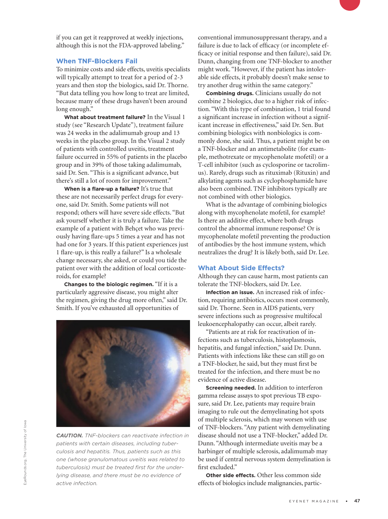if you can get it reapproved at weekly injections, although this is not the FDA-approved labeling."

#### **When TNF-Blockers Fail**

To minimize costs and side effects, uveitis specialists will typically attempt to treat for a period of 2-3 years and then stop the biologics, said Dr. Thorne. "But data telling you how long to treat are limited, because many of these drugs haven't been around long enough."

**What about treatment failure?** In the Visual 1 study (see "Research Update"), treatment failure was 24 weeks in the adalimumab group and 13 weeks in the placebo group. In the Visual 2 study of patients with controlled uveitis, treatment failure occurred in 55% of patients in the placebo group and in 39% of those taking adalimumab, said Dr. Sen. "This is a significant advance, but there's still a lot of room for improvement."

**When is a flare-up a failure?** It's true that these are not necessarily perfect drugs for everyone, said Dr. Smith. Some patients will not respond; others will have severe side effects. "But ask yourself whether it is truly a failure. Take the example of a patient with Behçet who was previously having flare-ups 5 times a year and has not had one for 3 years. If this patient experiences just 1 flare-up, is this really a failure?" Is a wholesale change necessary, she asked, or could you tide the patient over with the addition of local corticosteroids, for example?

**Changes to the biologic regimen.** "If it is a particularly aggressive disease, you might alter the regimen, giving the drug more often," said Dr. Smith. If you've exhausted all opportunities of



*CAUTION. TNF-blockers can reactivate infection in patients with certain diseases, including tuberculosis and hepatitis. Thus, patients such as this one (whose granulomatous uveitis was related to tuberculosis) must be treated first for the underlying disease, and there must be no evidence of active infection.*

conventional immunosuppressant therapy, and a failure is due to lack of efficacy (or incomplete efficacy or initial response and then failure), said Dr. Dunn, changing from one TNF-blocker to another might work. "However, if the patient has intolerable side effects, it probably doesn't make sense to try another drug within the same category."

**Combining drugs.** Clinicians usually do not combine 2 biologics, due to a higher risk of infection. "With this type of combination, 1 trial found a significant increase in infection without a significant increase in effectiveness," said Dr. Sen. But combining biologics with nonbiologics is commonly done, she said. Thus, a patient might be on a TNF-blocker and an antimetabolite (for example, methotrexate or mycophenolate mofetil) or a T-cell inhibitor (such as cyclosporine or tacrolimus). Rarely, drugs such as rituximab (Rituxin) and alkylating agents such as cyclophosphamide have also been combined. TNF inhibitors typically are not combined with other biologics.

What is the advantage of combining biologics along with mycophenolate mofetil, for example? Is there an additive effect, where both drugs control the abnormal immune response? Or is mycophenolate mofetil preventing the production of antibodies by the host immune system, which neutralizes the drug? It is likely both, said Dr. Lee.

#### **What About Side Effects?**

Although they can cause harm, most patients can tolerate the TNF-blockers, said Dr. Lee.

**Infection an issue.** An increased risk of infection, requiring antibiotics, occurs most commonly, said Dr. Thorne. Seen in AIDS patients, very severe infections such as progressive multifocal leukoencephalopathy can occur, albeit rarely.

"Patients are at risk for reactivation of infections such as tuberculosis, histoplasmosis, hepatitis, and fungal infection," said Dr. Dunn. Patients with infections like these can still go on a TNF-blocker, he said, but they must first be treated for the infection, and there must be no evidence of active disease.

**Screening needed.** In addition to interferon gamma release assays to spot previous TB exposure, said Dr. Lee, patients may require brain imaging to rule out the demyelinating hot spots of multiple sclerosis, which may worsen with use of TNF-blockers. "Any patient with demyelinating disease should not use a TNF-blocker," added Dr. Dunn. "Although intermediate uveitis may be a harbinger of multiple sclerosis, adalimumab may be used if central nervous system demyelination is first excluded."

**Other side effects.** Other less common side effects of biologics include malignancies, partic